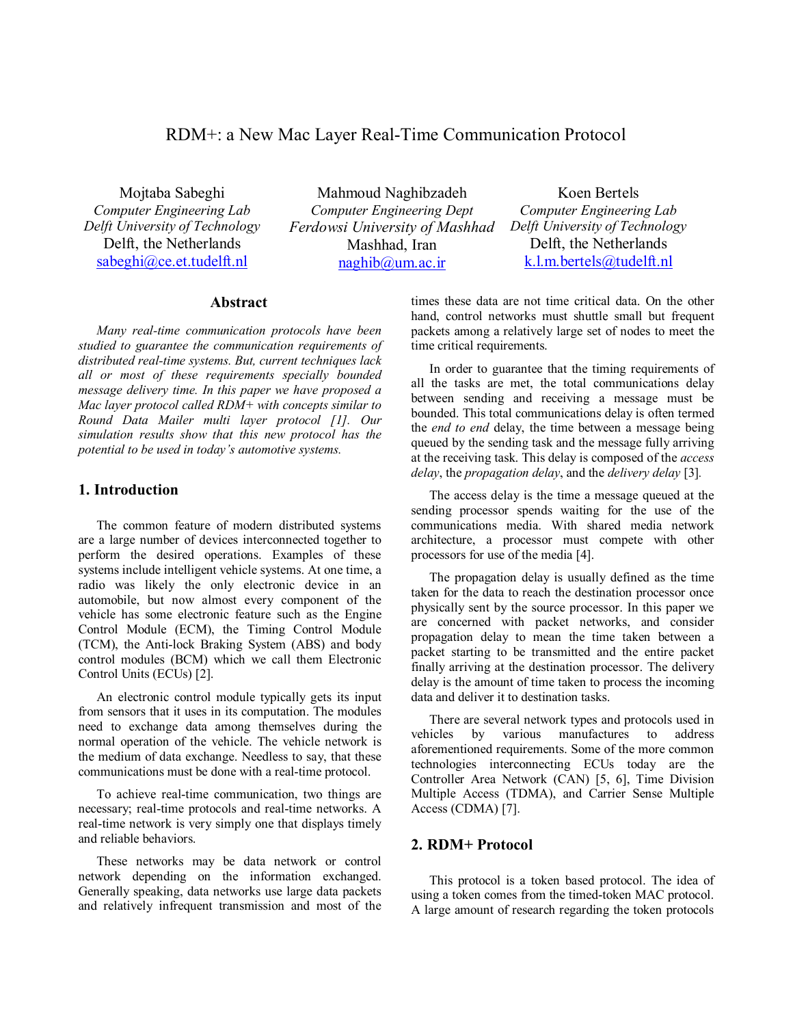# RDM+: a New Mac Layer Real-Time Communication Protocol

Mojtaba Sabeghi *Computer Engineering Lab Delft University of Technology*  Delft, the Netherlands sabeghi@ce.et.tudelft.nl

Mahmoud Naghibzadeh *Computer Engineering Dept Ferdowsi University of Mashhad*  Mashhad, Iran naghib@um.ac.ir

Koen Bertels *Computer Engineering Lab Delft University of Technology*  Delft, the Netherlands k.l.m.bertels@tudelft.nl

## **Abstract**

*Many real-time communication protocols have been studied to guarantee the communication requirements of distributed real-time systems. But, current techniques lack all or most of these requirements specially bounded message delivery time. In this paper we have proposed a Mac layer protocol called RDM+ with concepts similar to Round Data Mailer multi layer protocol [1]. Our simulation results show that this new protocol has the potential to be used in today's automotive systems.* 

#### **1. Introduction**

The common feature of modern distributed systems are a large number of devices interconnected together to perform the desired operations. Examples of these systems include intelligent vehicle systems. At one time, a radio was likely the only electronic device in an automobile, but now almost every component of the vehicle has some electronic feature such as the Engine Control Module (ECM), the Timing Control Module (TCM), the Anti-lock Braking System (ABS) and body control modules (BCM) which we call them Electronic Control Units (ECUs) [2].

An electronic control module typically gets its input from sensors that it uses in its computation. The modules need to exchange data among themselves during the normal operation of the vehicle. The vehicle network is the medium of data exchange. Needless to say, that these communications must be done with a real-time protocol.

To achieve real-time communication, two things are necessary; real-time protocols and real-time networks. A real-time network is very simply one that displays timely and reliable behaviors.

These networks may be data network or control network depending on the information exchanged. Generally speaking, data networks use large data packets and relatively infrequent transmission and most of the times these data are not time critical data. On the other hand, control networks must shuttle small but frequent packets among a relatively large set of nodes to meet the time critical requirements.

In order to guarantee that the timing requirements of all the tasks are met, the total communications delay between sending and receiving a message must be bounded. This total communications delay is often termed the *end to end* delay, the time between a message being queued by the sending task and the message fully arriving at the receiving task. This delay is composed of the *access delay*, the *propagation delay*, and the *delivery delay* [3]*.* 

The access delay is the time a message queued at the sending processor spends waiting for the use of the communications media. With shared media network architecture, a processor must compete with other processors for use of the media [4].

The propagation delay is usually defined as the time taken for the data to reach the destination processor once physically sent by the source processor. In this paper we are concerned with packet networks, and consider propagation delay to mean the time taken between a packet starting to be transmitted and the entire packet finally arriving at the destination processor. The delivery delay is the amount of time taken to process the incoming data and deliver it to destination tasks.

There are several network types and protocols used in vehicles by various manufactures to address aforementioned requirements. Some of the more common technologies interconnecting ECUs today are the Controller Area Network (CAN) [5, 6], Time Division Multiple Access (TDMA), and Carrier Sense Multiple Access (CDMA) [7].

#### **2. RDM+ Protocol**

This protocol is a token based protocol. The idea of using a token comes from the timed-token MAC protocol. A large amount of research regarding the token protocols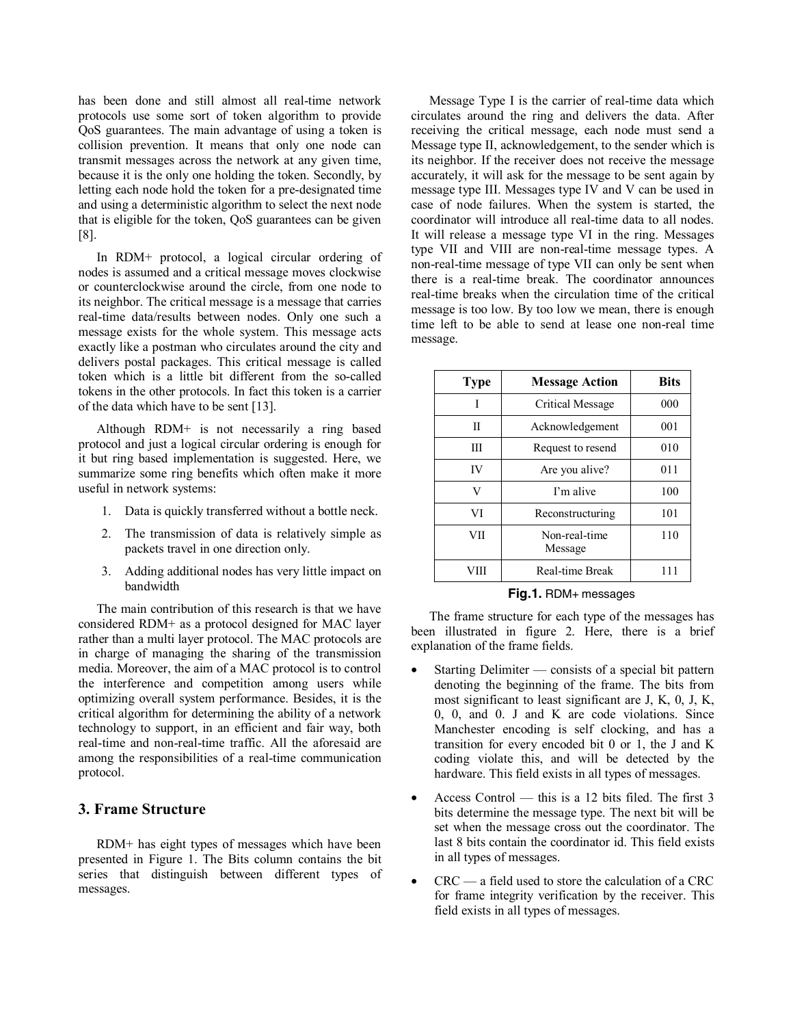has been done and still almost all real-time network protocols use some sort of token algorithm to provide QoS guarantees. The main advantage of using a token is collision prevention. It means that only one node can transmit messages across the network at any given time, because it is the only one holding the token. Secondly, by letting each node hold the token for a pre-designated time and using a deterministic algorithm to select the next node that is eligible for the token, QoS guarantees can be given [8].

In RDM+ protocol, a logical circular ordering of nodes is assumed and a critical message moves clockwise or counterclockwise around the circle, from one node to its neighbor. The critical message is a message that carries real-time data/results between nodes. Only one such a message exists for the whole system. This message acts exactly like a postman who circulates around the city and delivers postal packages. This critical message is called token which is a little bit different from the so-called tokens in the other protocols. In fact this token is a carrier of the data which have to be sent [13].

Although RDM+ is not necessarily a ring based protocol and just a logical circular ordering is enough for it but ring based implementation is suggested. Here, we summarize some ring benefits which often make it more useful in network systems:

- 1. Data is quickly transferred without a bottle neck.
- 2. The transmission of data is relatively simple as packets travel in one direction only.
- 3. Adding additional nodes has very little impact on bandwidth

The main contribution of this research is that we have considered RDM+ as a protocol designed for MAC layer rather than a multi layer protocol. The MAC protocols are in charge of managing the sharing of the transmission media. Moreover, the aim of a MAC protocol is to control the interference and competition among users while optimizing overall system performance. Besides, it is the critical algorithm for determining the ability of a network technology to support, in an efficient and fair way, both real-time and non-real-time traffic. All the aforesaid are among the responsibilities of a real-time communication protocol.

### **3. Frame Structure**

RDM+ has eight types of messages which have been presented in Figure 1. The Bits column contains the bit series that distinguish between different types of messages.

Message Type I is the carrier of real-time data which circulates around the ring and delivers the data. After receiving the critical message, each node must send a Message type II, acknowledgement, to the sender which is its neighbor. If the receiver does not receive the message accurately, it will ask for the message to be sent again by message type III. Messages type IV and V can be used in case of node failures. When the system is started, the coordinator will introduce all real-time data to all nodes. It will release a message type VI in the ring. Messages type VII and VIII are non-real-time message types. A non-real-time message of type VII can only be sent when there is a real-time break. The coordinator announces real-time breaks when the circulation time of the critical message is too low. By too low we mean, there is enough time left to be able to send at lease one non-real time message.

| <b>Type</b> | <b>Message Action</b>    | <b>Bits</b> |
|-------------|--------------------------|-------------|
| T           | Critical Message         | 000         |
| П           | Acknowledgement          | 001         |
| Ш           | Request to resend        | 010         |
| <b>IV</b>   | Are you alive?           | 011         |
| V           | I'm alive                | 100         |
| VI          | Reconstructuring         | 101         |
| VП          | Non-real-time<br>Message | 110         |
| VIII        | Real-time Break          | 111         |

**Fig.1.** RDM+ messages

The frame structure for each type of the messages has been illustrated in figure 2. Here, there is a brief explanation of the frame fields.

- Starting Delimiter consists of a special bit pattern denoting the beginning of the frame. The bits from most significant to least significant are J, K, 0, J, K, 0, 0, and 0. J and K are code violations. Since Manchester encoding is self clocking, and has a transition for every encoded bit 0 or 1, the J and K coding violate this, and will be detected by the hardware. This field exists in all types of messages.
- Access Control this is a 12 bits filed. The first 3 bits determine the message type. The next bit will be set when the message cross out the coordinator. The last 8 bits contain the coordinator id. This field exists in all types of messages.
- $CRC$  a field used to store the calculation of a  $CRC$ for frame integrity verification by the receiver. This field exists in all types of messages.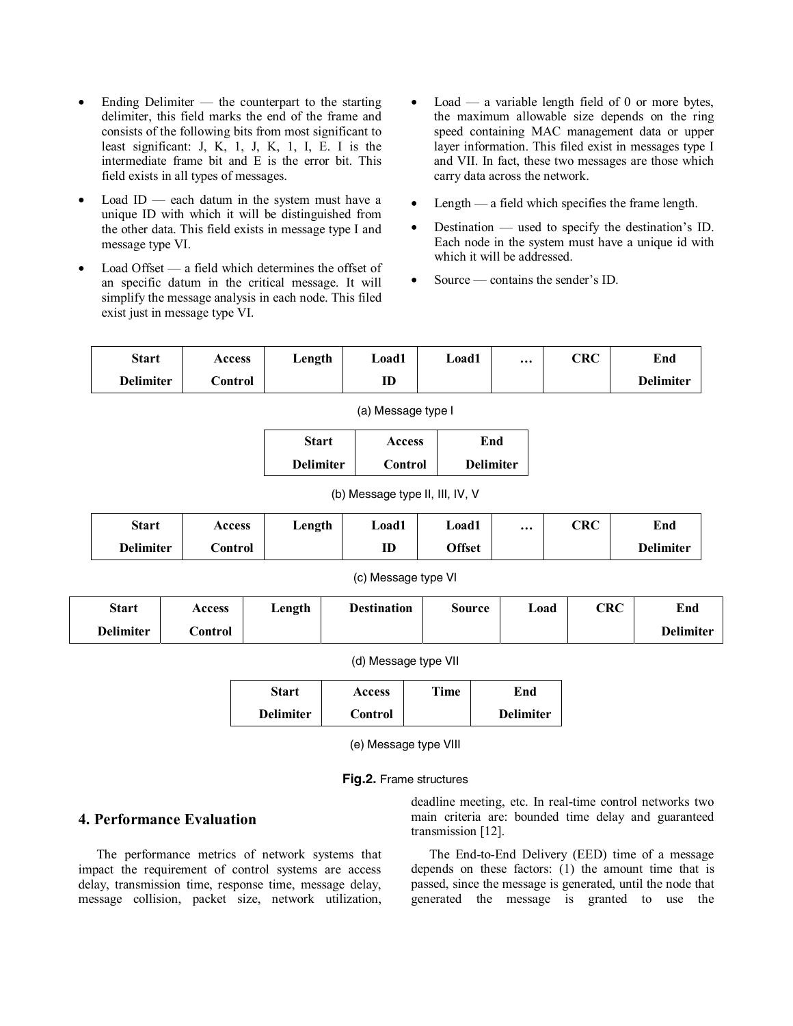- Ending Delimiter the counterpart to the starting delimiter, this field marks the end of the frame and consists of the following bits from most significant to least significant: J, K, 1, J, K, 1, I, E. I is the intermediate frame bit and E is the error bit. This field exists in all types of messages.
- Load ID each datum in the system must have a unique ID with which it will be distinguished from the other data. This field exists in message type I and message type VI.
- Load Offset a field which determines the offset of an specific datum in the critical message. It will simplify the message analysis in each node. This filed exist just in message type VI.
- $Load a variable length field of 0 or more bytes,$ the maximum allowable size depends on the ring speed containing MAC management data or upper layer information. This filed exist in messages type I and VII. In fact, these two messages are those which carry data across the network.
- Length a field which specifies the frame length.
- Destination used to specify the destination's ID. Each node in the system must have a unique id with which it will be addressed.
- Source contains the sender's ID.

| <b>Start</b>     | <b>Access</b> | ∟ength | Load1 | Load1 | $\cdots$ | CRC | End              |
|------------------|---------------|--------|-------|-------|----------|-----|------------------|
| <b>Delimiter</b> | `ontrol       |        | ID    |       |          |     | <b>Delimiter</b> |

| (a) Message type I |  |
|--------------------|--|
|                    |  |

| Start            | <b>Access</b>  | End              |
|------------------|----------------|------------------|
| <b>Delimiter</b> | <b>Control</b> | <b>Delimiter</b> |

(b) Message type II, III, IV, V

| <b>Start</b>     | Access   | ∟ength | Load1 | Load1         | $\cdots$ | CRC | End              |
|------------------|----------|--------|-------|---------------|----------|-----|------------------|
| <b>Delimiter</b> | dontrol. |        | ID    | <b>Offset</b> |          |     | <b>Delimiter</b> |

#### (c) Message type VI

| <b>Start</b>     | Access   | Length | <b>Destination</b> | Source | Load | ${\rm CRC}$ | End              |
|------------------|----------|--------|--------------------|--------|------|-------------|------------------|
| <b>Delimiter</b> | .`ontrol |        |                    |        |      |             | <b>Delimiter</b> |

(d) Message type VII

| Start            | <b>Access</b> | Time | End              |
|------------------|---------------|------|------------------|
| <b>Delimiter</b> | Control       |      | <b>Delimiter</b> |

(e) Message type VIII

**Fig.2.** Frame structures

# **4. Performance Evaluation**

The performance metrics of network systems that impact the requirement of control systems are access delay, transmission time, response time, message delay, message collision, packet size, network utilization, deadline meeting, etc. In real-time control networks two main criteria are: bounded time delay and guaranteed transmission [12].

The End-to-End Delivery (EED) time of a message depends on these factors: (1) the amount time that is passed, since the message is generated, until the node that generated the message is granted to use the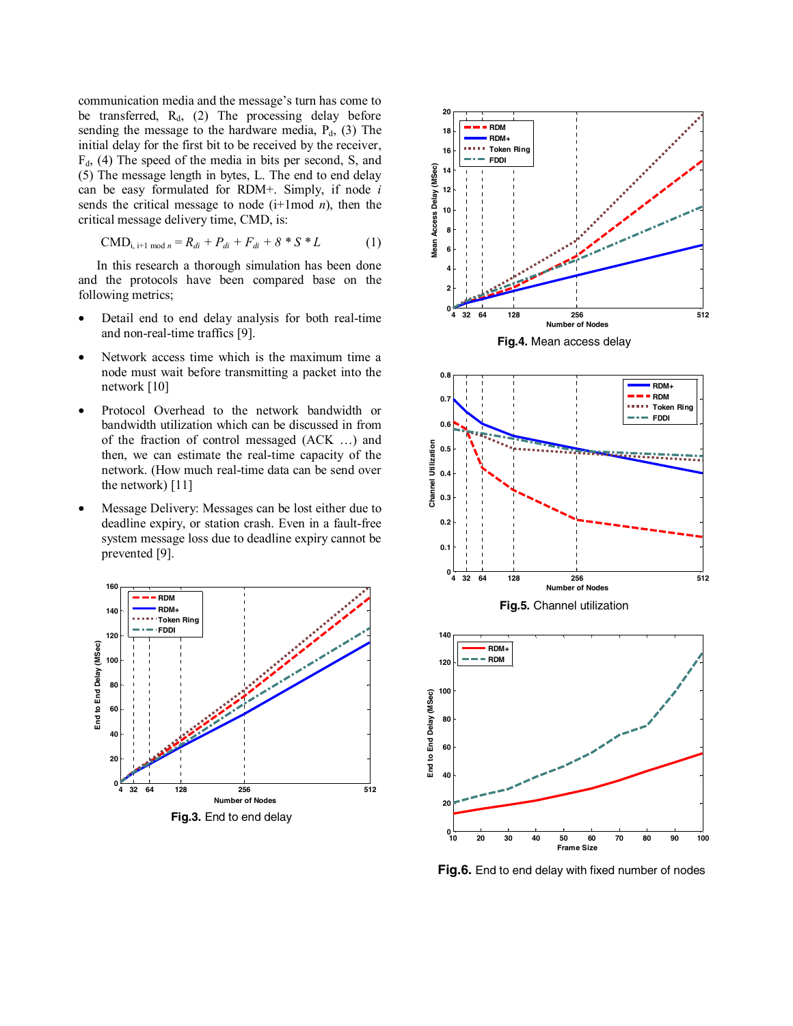communication media and the message's turn has come to be transferred,  $R_d$ , (2) The processing delay before sending the message to the hardware media,  $P_d$ , (3) The initial delay for the first bit to be received by the receiver,  $F<sub>d</sub>$ , (4) The speed of the media in bits per second, S, and (5) The message length in bytes, L. The end to end delay can be easy formulated for RDM+. Simply, if node *i*  sends the critical message to node (i+1mod *n*), then the critical message delivery time, CMD, is:

$$
CMD_{i, i+1 \mod n} = R_{di} + P_{di} + F_{di} + 8 * S * L \tag{1}
$$

In this research a thorough simulation has been done and the protocols have been compared base on the following metrics;

- Detail end to end delay analysis for both real-time and non-real-time traffics [9].
- Network access time which is the maximum time a node must wait before transmitting a packet into the network [10]
- Protocol Overhead to the network bandwidth or bandwidth utilization which can be discussed in from of the fraction of control messaged (ACK …) and then, we can estimate the real-time capacity of the network. (How much real-time data can be send over the network) [11]
- Message Delivery: Messages can be lost either due to deadline expiry, or station crash. Even in a fault-free system message loss due to deadline expiry cannot be prevented [9].





**Fig.6.** End to end delay with fixed number of nodes